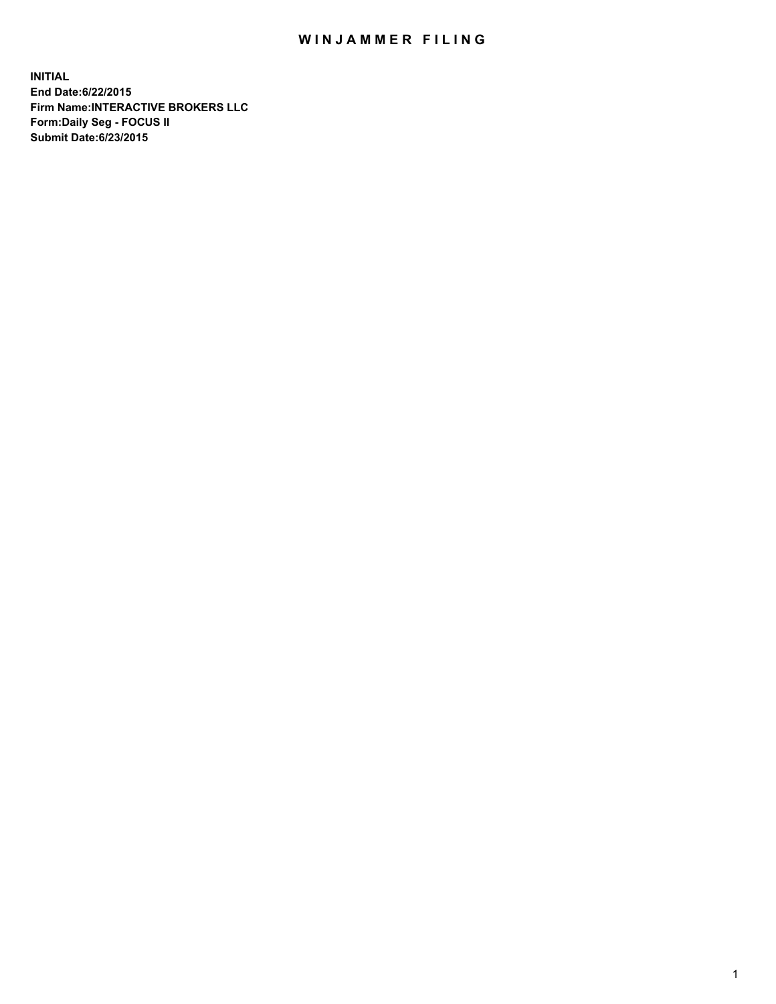## WIN JAMMER FILING

**INITIAL End Date:6/22/2015 Firm Name:INTERACTIVE BROKERS LLC Form:Daily Seg - FOCUS II Submit Date:6/23/2015**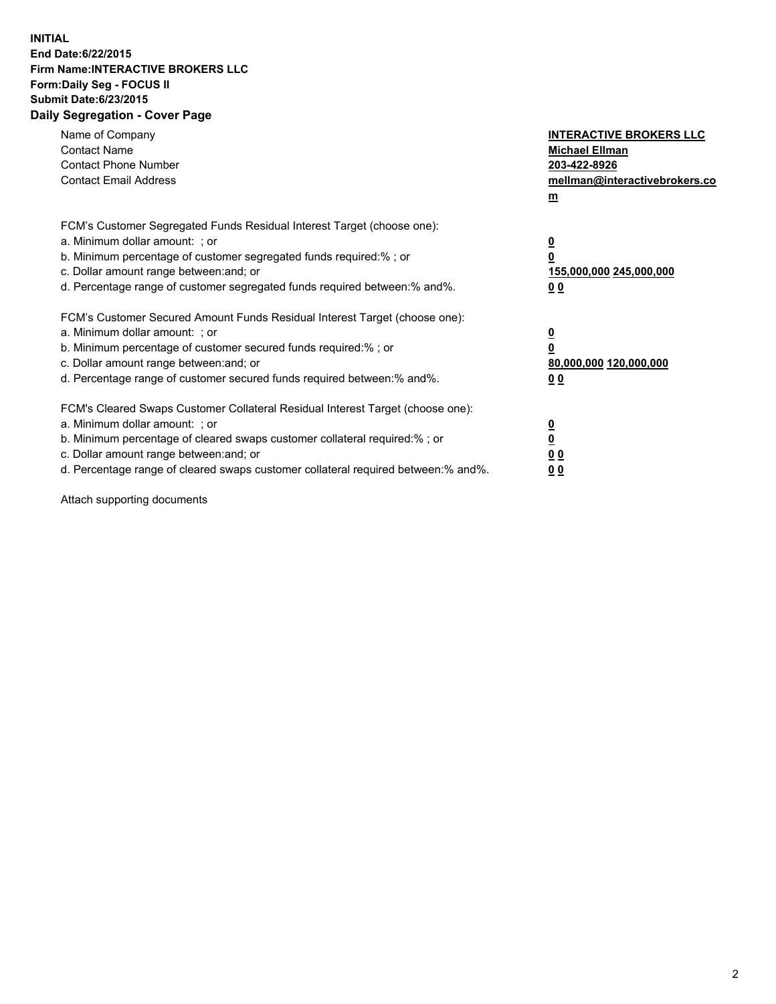## **INITIAL End Date:6/22/2015 Firm Name:INTERACTIVE BROKERS LLC Form:Daily Seg - FOCUS II Submit Date:6/23/2015 Daily Segregation - Cover Page**

| Name of Company<br><b>Contact Name</b><br><b>Contact Phone Number</b><br><b>Contact Email Address</b>                                                                                                                                                                                                                          | <b>INTERACTIVE BROKERS LLC</b><br><b>Michael Ellman</b><br>203-422-8926<br>mellman@interactivebrokers.co<br>$m$ |
|--------------------------------------------------------------------------------------------------------------------------------------------------------------------------------------------------------------------------------------------------------------------------------------------------------------------------------|-----------------------------------------------------------------------------------------------------------------|
| FCM's Customer Segregated Funds Residual Interest Target (choose one):<br>a. Minimum dollar amount: ; or<br>b. Minimum percentage of customer segregated funds required:% ; or<br>c. Dollar amount range between: and; or<br>d. Percentage range of customer segregated funds required between: % and %.                       | $\overline{\mathbf{0}}$<br>0<br>155,000,000 245,000,000<br>00                                                   |
| FCM's Customer Secured Amount Funds Residual Interest Target (choose one):<br>a. Minimum dollar amount: ; or<br>b. Minimum percentage of customer secured funds required:%; or<br>c. Dollar amount range between: and; or<br>d. Percentage range of customer secured funds required between: % and %.                          | $\overline{\mathbf{0}}$<br>0<br>80,000,000 120,000,000<br>0 <sub>0</sub>                                        |
| FCM's Cleared Swaps Customer Collateral Residual Interest Target (choose one):<br>a. Minimum dollar amount: ; or<br>b. Minimum percentage of cleared swaps customer collateral required:% ; or<br>c. Dollar amount range between: and; or<br>d. Percentage range of cleared swaps customer collateral required between:% and%. | $\overline{\mathbf{0}}$<br>$\underline{\mathbf{0}}$<br>0 <sub>0</sub><br>0 <sub>0</sub>                         |

Attach supporting documents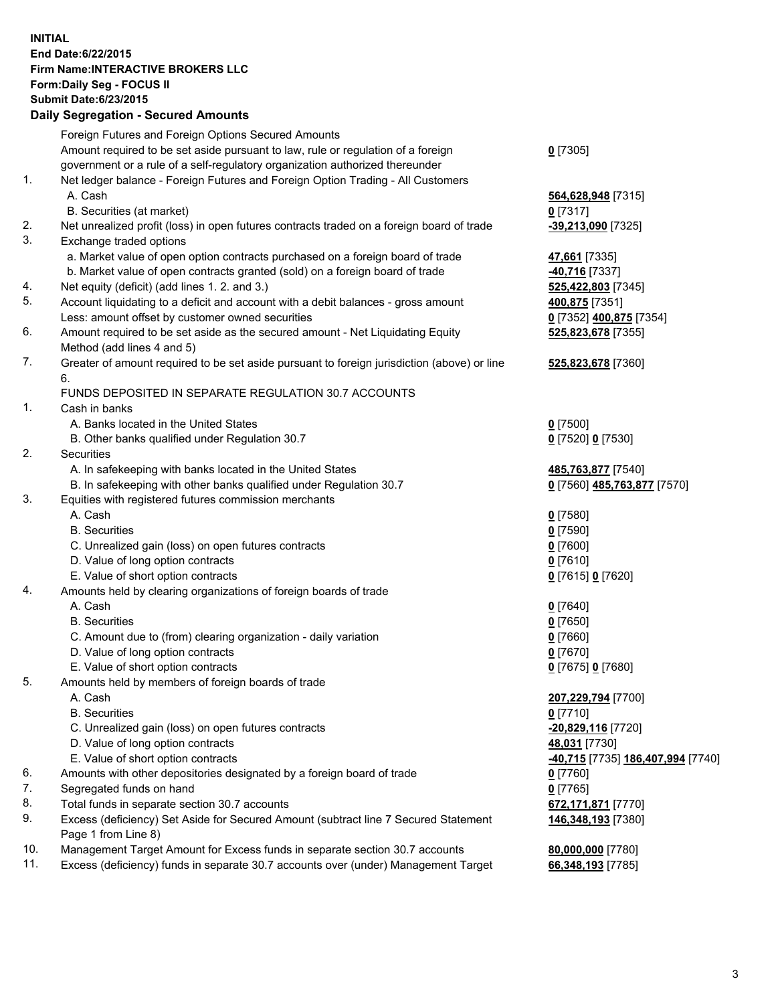## **INITIAL End Date:6/22/2015 Firm Name:INTERACTIVE BROKERS LLC Form:Daily Seg - FOCUS II Submit Date:6/23/2015 Daily Segregation - Secured Amounts**

|     | Dany Ocgregation - Oceanea Annoanta                                                         |                                  |
|-----|---------------------------------------------------------------------------------------------|----------------------------------|
|     | Foreign Futures and Foreign Options Secured Amounts                                         |                                  |
|     | Amount required to be set aside pursuant to law, rule or regulation of a foreign            | $0$ [7305]                       |
|     | government or a rule of a self-regulatory organization authorized thereunder                |                                  |
| 1.  | Net ledger balance - Foreign Futures and Foreign Option Trading - All Customers             |                                  |
|     | A. Cash                                                                                     | 564,628,948 [7315]               |
|     | B. Securities (at market)                                                                   | $0$ [7317]                       |
| 2.  | Net unrealized profit (loss) in open futures contracts traded on a foreign board of trade   | -39,213,090 [7325]               |
| 3.  | Exchange traded options                                                                     |                                  |
|     | a. Market value of open option contracts purchased on a foreign board of trade              | 47,661 [7335]                    |
|     | b. Market value of open contracts granted (sold) on a foreign board of trade                | -40,716 [7337]                   |
| 4.  | Net equity (deficit) (add lines 1.2. and 3.)                                                | 525,422,803 [7345]               |
| 5.  | Account liquidating to a deficit and account with a debit balances - gross amount           | 400,875 [7351]                   |
|     | Less: amount offset by customer owned securities                                            | 0 [7352] 400,875 [7354]          |
| 6.  | Amount required to be set aside as the secured amount - Net Liquidating Equity              | 525,823,678 [7355]               |
|     | Method (add lines 4 and 5)                                                                  |                                  |
| 7.  | Greater of amount required to be set aside pursuant to foreign jurisdiction (above) or line | 525,823,678 [7360]               |
|     | 6.                                                                                          |                                  |
|     | FUNDS DEPOSITED IN SEPARATE REGULATION 30.7 ACCOUNTS                                        |                                  |
| 1.  | Cash in banks                                                                               |                                  |
|     | A. Banks located in the United States                                                       | $0$ [7500]                       |
|     | B. Other banks qualified under Regulation 30.7                                              | 0 [7520] 0 [7530]                |
| 2.  | Securities                                                                                  |                                  |
|     | A. In safekeeping with banks located in the United States                                   | 485,763,877 [7540]               |
|     | B. In safekeeping with other banks qualified under Regulation 30.7                          | 0 [7560] 485,763,877 [7570]      |
| 3.  | Equities with registered futures commission merchants                                       |                                  |
|     | A. Cash                                                                                     | $0$ [7580]                       |
|     | <b>B.</b> Securities                                                                        | $0$ [7590]                       |
|     | C. Unrealized gain (loss) on open futures contracts                                         | $0$ [7600]                       |
|     | D. Value of long option contracts                                                           | $0$ [7610]                       |
|     | E. Value of short option contracts                                                          | 0 [7615] 0 [7620]                |
| 4.  | Amounts held by clearing organizations of foreign boards of trade                           |                                  |
|     | A. Cash                                                                                     | $0$ [7640]                       |
|     | <b>B.</b> Securities                                                                        | $0$ [7650]                       |
|     | C. Amount due to (from) clearing organization - daily variation                             | $0$ [7660]                       |
|     | D. Value of long option contracts                                                           | $0$ [7670]                       |
|     | E. Value of short option contracts                                                          | 0 [7675] 0 [7680]                |
| 5.  | Amounts held by members of foreign boards of trade                                          |                                  |
|     | A. Cash                                                                                     | 207,229,794 [7700]               |
|     | <b>B.</b> Securities                                                                        | $0$ [7710]                       |
|     | C. Unrealized gain (loss) on open futures contracts                                         | -20,829,116 [7720]               |
|     | D. Value of long option contracts                                                           | 48,031 [7730]                    |
|     | E. Value of short option contracts                                                          | 40,715 [7735] 186,407,994 [7740] |
| 6.  | Amounts with other depositories designated by a foreign board of trade                      | 0 [7760]                         |
| 7.  | Segregated funds on hand                                                                    | $0$ [7765]                       |
| 8.  | Total funds in separate section 30.7 accounts                                               | 672,171,871 [7770]               |
| 9.  | Excess (deficiency) Set Aside for Secured Amount (subtract line 7 Secured Statement         | 146,348,193 [7380]               |
|     | Page 1 from Line 8)                                                                         |                                  |
| 10. | Management Target Amount for Excess funds in separate section 30.7 accounts                 | 80,000,000 [7780]                |
| 11. | Excess (deficiency) funds in separate 30.7 accounts over (under) Management Target          | 66,348,193 [7785]                |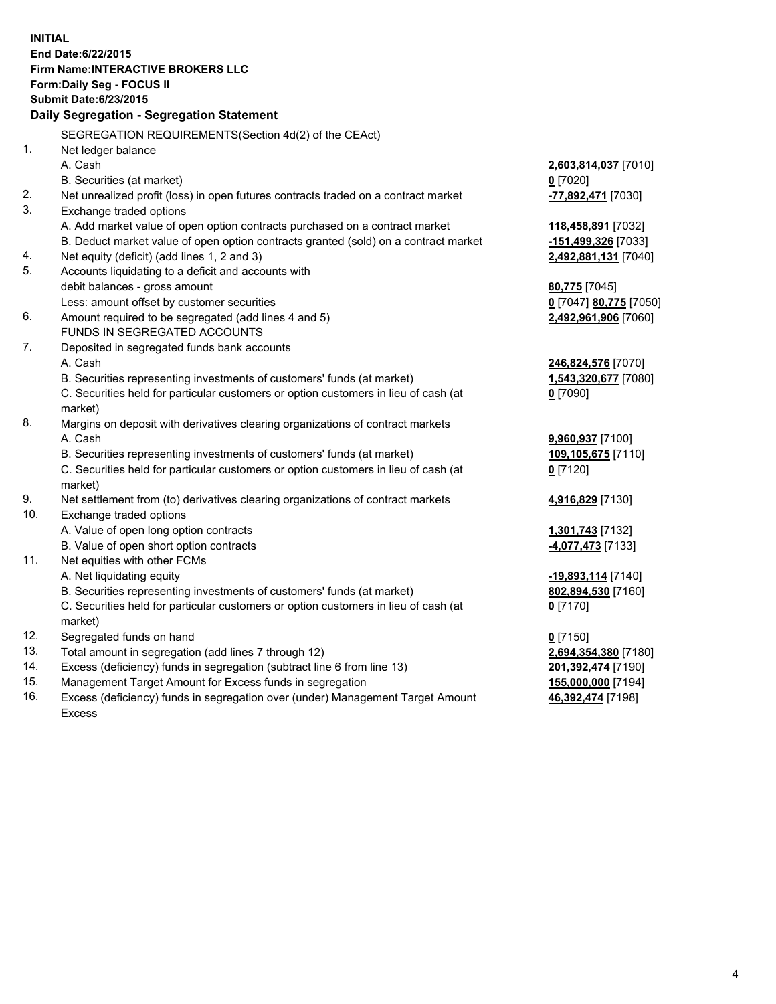**INITIAL End Date:6/22/2015 Firm Name:INTERACTIVE BROKERS LLC Form:Daily Seg - FOCUS II Submit Date:6/23/2015 Daily Segregation - Segregation Statement** SEGREGATION REQUIREMENTS(Section 4d(2) of the CEAct) 1. Net ledger balance A. Cash **2,603,814,037** [7010] B. Securities (at market) **0** [7020] 2. Net unrealized profit (loss) in open futures contracts traded on a contract market **-77,892,471** [7030] 3. Exchange traded options A. Add market value of open option contracts purchased on a contract market **118,458,891** [7032] B. Deduct market value of open option contracts granted (sold) on a contract market **-151,499,326** [7033] 4. Net equity (deficit) (add lines 1, 2 and 3) **2,492,881,131** [7040] 5. Accounts liquidating to a deficit and accounts with debit balances - gross amount **80,775** [7045] Less: amount offset by customer securities **0** [7047] **80,775** [7050] 6. Amount required to be segregated (add lines 4 and 5) **2,492,961,906** [7060] FUNDS IN SEGREGATED ACCOUNTS 7. Deposited in segregated funds bank accounts A. Cash **246,824,576** [7070] B. Securities representing investments of customers' funds (at market) **1,543,320,677** [7080] C. Securities held for particular customers or option customers in lieu of cash (at market) **0** [7090] 8. Margins on deposit with derivatives clearing organizations of contract markets A. Cash **9,960,937** [7100] B. Securities representing investments of customers' funds (at market) **109,105,675** [7110] C. Securities held for particular customers or option customers in lieu of cash (at market) **0** [7120] 9. Net settlement from (to) derivatives clearing organizations of contract markets **4,916,829** [7130] 10. Exchange traded options A. Value of open long option contracts **1,301,743** [7132] B. Value of open short option contracts **-4,077,473** [7133] 11. Net equities with other FCMs A. Net liquidating equity **-19,893,114** [7140] B. Securities representing investments of customers' funds (at market) **802,894,530** [7160] C. Securities held for particular customers or option customers in lieu of cash (at market) **0** [7170] 12. Segregated funds on hand **0** [7150] 13. Total amount in segregation (add lines 7 through 12) **2,694,354,380** [7180] 14. Excess (deficiency) funds in segregation (subtract line 6 from line 13) **201,392,474** [7190] 15. Management Target Amount for Excess funds in segregation **155,000,000** [7194]

16. Excess (deficiency) funds in segregation over (under) Management Target Amount Excess

**46,392,474** [7198]